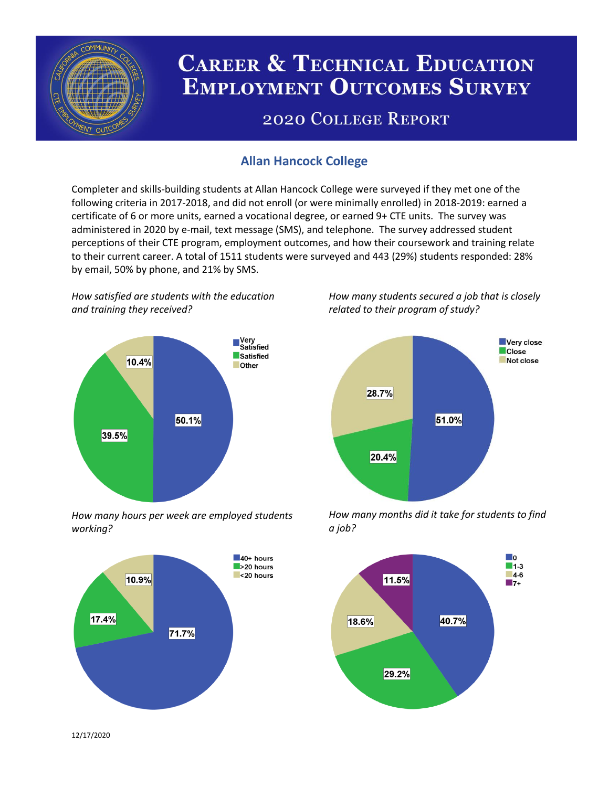

# **CAREER & TECHNICAL EDUCATION EMPLOYMENT OUTCOMES SURVEY**

## **2020 COLLEGE REPORT**

## **Allan Hancock College**

Completer and skills-building students at Allan Hancock College were surveyed if they met one of the following criteria in 2017-2018, and did not enroll (or were minimally enrolled) in 2018-2019: earned a certificate of 6 or more units, earned a vocational degree, or earned 9+ CTE units. The survey was administered in 2020 by e-mail, text message (SMS), and telephone. The survey addressed student perceptions of their CTE program, employment outcomes, and how their coursework and training relate to their current career. A total of 1511 students were surveyed and 443 (29%) students responded: 28% by email, 50% by phone, and 21% by SMS.

*How satisfied are students with the education and training they received?*



*How many hours per week are employed students working?*



*How many students secured a job that is closely related to their program of study?*



*How many months did it take for students to find a job?*